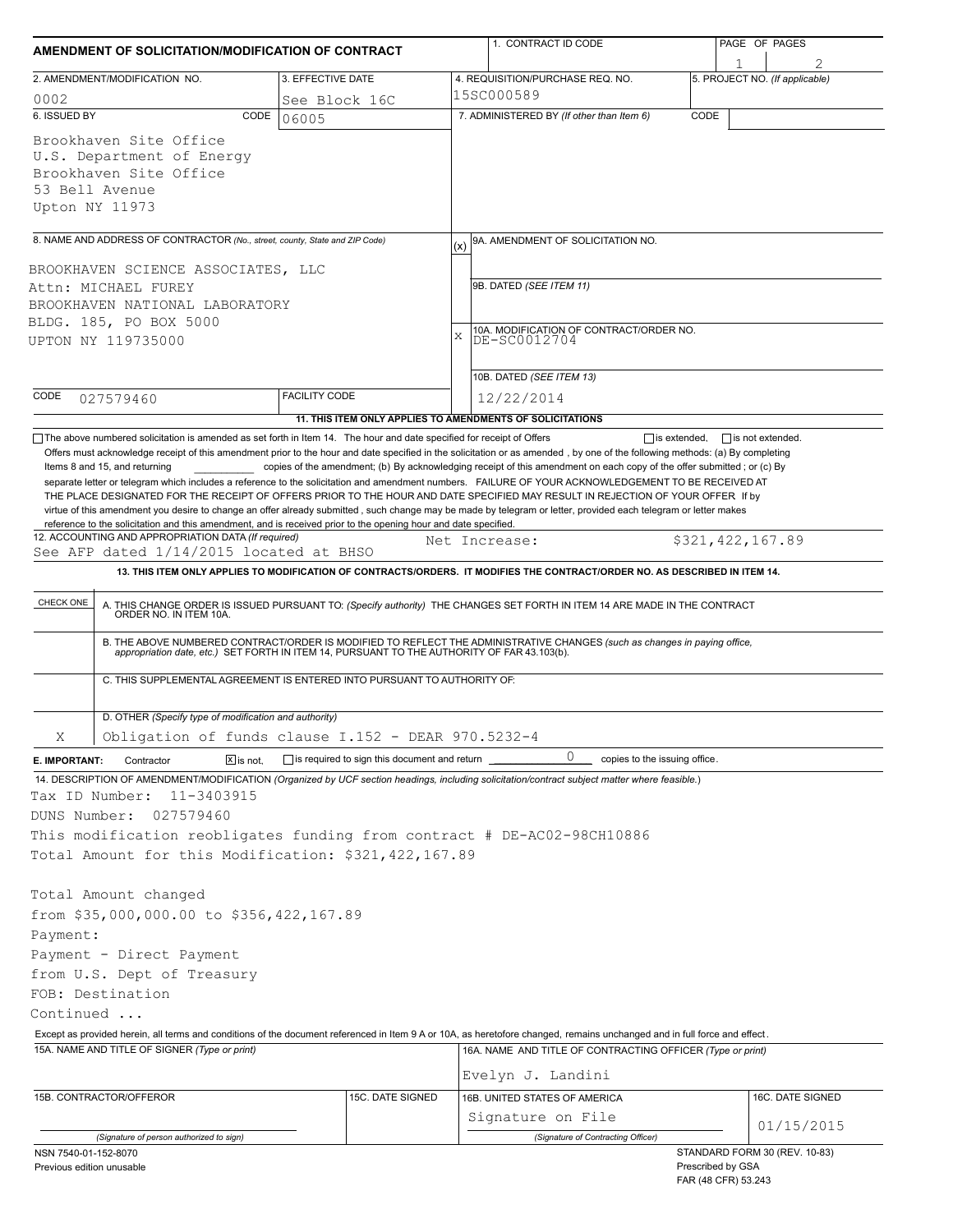| AMENDMENT OF SOLICITATION/MODIFICATION OF CONTRACT                                                                                          |                                                                                                                                                                                                                                                                                                                                                                                                                                                                                                                                                                                                                                                                                                                                                                                                                                                                                                                                       |                                                                                   |     | 1. CONTRACT ID CODE                                                                                                                                                       |                   | PAGE OF PAGES                                        |  |  |  |
|---------------------------------------------------------------------------------------------------------------------------------------------|---------------------------------------------------------------------------------------------------------------------------------------------------------------------------------------------------------------------------------------------------------------------------------------------------------------------------------------------------------------------------------------------------------------------------------------------------------------------------------------------------------------------------------------------------------------------------------------------------------------------------------------------------------------------------------------------------------------------------------------------------------------------------------------------------------------------------------------------------------------------------------------------------------------------------------------|-----------------------------------------------------------------------------------|-----|---------------------------------------------------------------------------------------------------------------------------------------------------------------------------|-------------------|------------------------------------------------------|--|--|--|
|                                                                                                                                             |                                                                                                                                                                                                                                                                                                                                                                                                                                                                                                                                                                                                                                                                                                                                                                                                                                                                                                                                       | 3. EFFECTIVE DATE                                                                 |     | 4. REQUISITION/PURCHASE REQ. NO.                                                                                                                                          |                   | 5. PROJECT NO. (If applicable)                       |  |  |  |
| 2. AMENDMENT/MODIFICATION NO.<br>0002                                                                                                       |                                                                                                                                                                                                                                                                                                                                                                                                                                                                                                                                                                                                                                                                                                                                                                                                                                                                                                                                       | See Block 16C                                                                     |     | 15SC000589                                                                                                                                                                |                   |                                                      |  |  |  |
| 6. ISSUED BY                                                                                                                                | CODE                                                                                                                                                                                                                                                                                                                                                                                                                                                                                                                                                                                                                                                                                                                                                                                                                                                                                                                                  | 06005                                                                             |     | 7. ADMINISTERED BY (If other than Item 6)                                                                                                                                 | CODE              |                                                      |  |  |  |
| 53 Bell Avenue<br>Upton NY 11973                                                                                                            | Brookhaven Site Office<br>U.S. Department of Energy<br>Brookhaven Site Office                                                                                                                                                                                                                                                                                                                                                                                                                                                                                                                                                                                                                                                                                                                                                                                                                                                         |                                                                                   |     |                                                                                                                                                                           |                   |                                                      |  |  |  |
|                                                                                                                                             | 8. NAME AND ADDRESS OF CONTRACTOR (No., street, county, State and ZIP Code)                                                                                                                                                                                                                                                                                                                                                                                                                                                                                                                                                                                                                                                                                                                                                                                                                                                           |                                                                                   | (x) | 9A. AMENDMENT OF SOLICITATION NO.                                                                                                                                         |                   |                                                      |  |  |  |
| BROOKHAVEN SCIENCE ASSOCIATES, LLC<br>Attn: MICHAEL FUREY<br>BROOKHAVEN NATIONAL LABORATORY<br>BLDG. 185, PO BOX 5000<br>UPTON NY 119735000 |                                                                                                                                                                                                                                                                                                                                                                                                                                                                                                                                                                                                                                                                                                                                                                                                                                                                                                                                       |                                                                                   |     | 9B. DATED (SEE ITEM 11)<br>10A. MODIFICATION OF CONTRACT/ORDER NO.<br>DE-SC0012704<br>X                                                                                   |                   |                                                      |  |  |  |
|                                                                                                                                             |                                                                                                                                                                                                                                                                                                                                                                                                                                                                                                                                                                                                                                                                                                                                                                                                                                                                                                                                       |                                                                                   |     | 10B. DATED (SEE ITEM 13)                                                                                                                                                  |                   |                                                      |  |  |  |
| CODE                                                                                                                                        | 027579460                                                                                                                                                                                                                                                                                                                                                                                                                                                                                                                                                                                                                                                                                                                                                                                                                                                                                                                             | <b>FACILITY CODE</b><br>11. THIS ITEM ONLY APPLIES TO AMENDMENTS OF SOLICITATIONS |     | 12/22/2014                                                                                                                                                                |                   |                                                      |  |  |  |
| CHECK ONE                                                                                                                                   | virtue of this amendment you desire to change an offer already submitted, such change may be made by telegram or letter, provided each telegram or letter makes<br>reference to the solicitation and this amendment, and is received prior to the opening hour and date specified.<br>12. ACCOUNTING AND APPROPRIATION DATA (If required)<br>\$321,422,167.89<br>Net Increase:<br>See AFP dated 1/14/2015 located at BHSO<br>13. THIS ITEM ONLY APPLIES TO MODIFICATION OF CONTRACTS/ORDERS. IT MODIFIES THE CONTRACT/ORDER NO. AS DESCRIBED IN ITEM 14.<br>A. THIS CHANGE ORDER IS ISSUED PURSUANT TO: (Specify authority) THE CHANGES SET FORTH IN ITEM 14 ARE MADE IN THE CONTRACT ORDER NO. IN ITEM 10A.<br>B. THE ABOVE NUMBERED CONTRACT/ORDER IS MODIFIED TO REFLECT THE ADMINISTRATIVE CHANGES (such as changes in paying office, appropriation date, etc.) SET FORTH IN ITEM 14, PURSUANT TO THE AUTHORITY OF FAR 43.103(b). |                                                                                   |     |                                                                                                                                                                           |                   |                                                      |  |  |  |
|                                                                                                                                             | C. THIS SUPPLEMENTAL AGREEMENT IS ENTERED INTO PURSUANT TO AUTHORITY OF:<br>D. OTHER (Specify type of modification and authority)                                                                                                                                                                                                                                                                                                                                                                                                                                                                                                                                                                                                                                                                                                                                                                                                     |                                                                                   |     |                                                                                                                                                                           |                   |                                                      |  |  |  |
| Χ                                                                                                                                           | Obligation of funds clause I.152 - DEAR 970.5232-4                                                                                                                                                                                                                                                                                                                                                                                                                                                                                                                                                                                                                                                                                                                                                                                                                                                                                    |                                                                                   |     |                                                                                                                                                                           |                   |                                                      |  |  |  |
| E. IMPORTANT:                                                                                                                               | $X$ is not.<br>Contractor                                                                                                                                                                                                                                                                                                                                                                                                                                                                                                                                                                                                                                                                                                                                                                                                                                                                                                             | $\Box$ is required to sign this document and return                               |     | $\cup$<br>copies to the issuing office.                                                                                                                                   |                   |                                                      |  |  |  |
| Tax ID Number:<br>DUNS Number:                                                                                                              | 11-3403915<br>027579460<br>This modification reobligates funding from contract # DE-AC02-98CH10886<br>Total Amount for this Modification: \$321,422,167.89                                                                                                                                                                                                                                                                                                                                                                                                                                                                                                                                                                                                                                                                                                                                                                            |                                                                                   |     | 14. DESCRIPTION OF AMENDMENT/MODIFICATION (Organized by UCF section headings, including solicitation/contract subject matter where feasible.)                             |                   |                                                      |  |  |  |
| Payment:                                                                                                                                    | Total Amount changed<br>from \$35,000,000.00 to \$356,422,167.89<br>Payment - Direct Payment                                                                                                                                                                                                                                                                                                                                                                                                                                                                                                                                                                                                                                                                                                                                                                                                                                          |                                                                                   |     |                                                                                                                                                                           |                   |                                                      |  |  |  |
|                                                                                                                                             | from U.S. Dept of Treasury                                                                                                                                                                                                                                                                                                                                                                                                                                                                                                                                                                                                                                                                                                                                                                                                                                                                                                            |                                                                                   |     |                                                                                                                                                                           |                   |                                                      |  |  |  |
| FOB: Destination                                                                                                                            |                                                                                                                                                                                                                                                                                                                                                                                                                                                                                                                                                                                                                                                                                                                                                                                                                                                                                                                                       |                                                                                   |     |                                                                                                                                                                           |                   |                                                      |  |  |  |
| Continued                                                                                                                                   |                                                                                                                                                                                                                                                                                                                                                                                                                                                                                                                                                                                                                                                                                                                                                                                                                                                                                                                                       |                                                                                   |     |                                                                                                                                                                           |                   |                                                      |  |  |  |
|                                                                                                                                             |                                                                                                                                                                                                                                                                                                                                                                                                                                                                                                                                                                                                                                                                                                                                                                                                                                                                                                                                       |                                                                                   |     | Except as provided herein, all terms and conditions of the document referenced in Item 9 A or 10A, as heretofore changed, remains unchanged and in full force and effect. |                   |                                                      |  |  |  |
|                                                                                                                                             | 15A. NAME AND TITLE OF SIGNER (Type or print)                                                                                                                                                                                                                                                                                                                                                                                                                                                                                                                                                                                                                                                                                                                                                                                                                                                                                         |                                                                                   |     | 16A. NAME AND TITLE OF CONTRACTING OFFICER (Type or print)<br>Evelyn J. Landini                                                                                           |                   |                                                      |  |  |  |
| 15B. CONTRACTOR/OFFEROR                                                                                                                     |                                                                                                                                                                                                                                                                                                                                                                                                                                                                                                                                                                                                                                                                                                                                                                                                                                                                                                                                       | 15C. DATE SIGNED                                                                  |     | 16B. UNITED STATES OF AMERICA                                                                                                                                             |                   | 16C. DATE SIGNED                                     |  |  |  |
|                                                                                                                                             |                                                                                                                                                                                                                                                                                                                                                                                                                                                                                                                                                                                                                                                                                                                                                                                                                                                                                                                                       |                                                                                   |     | Signature on File                                                                                                                                                         |                   |                                                      |  |  |  |
|                                                                                                                                             | (Signature of person authorized to sign)                                                                                                                                                                                                                                                                                                                                                                                                                                                                                                                                                                                                                                                                                                                                                                                                                                                                                              |                                                                                   |     | (Signature of Contracting Officer)                                                                                                                                        |                   | 01/15/2015                                           |  |  |  |
| NSN 7540-01-152-8070<br>Previous edition unusable                                                                                           |                                                                                                                                                                                                                                                                                                                                                                                                                                                                                                                                                                                                                                                                                                                                                                                                                                                                                                                                       |                                                                                   |     |                                                                                                                                                                           | Prescribed by GSA | STANDARD FORM 30 (REV. 10-83)<br>FAR (48 CFR) 53.243 |  |  |  |